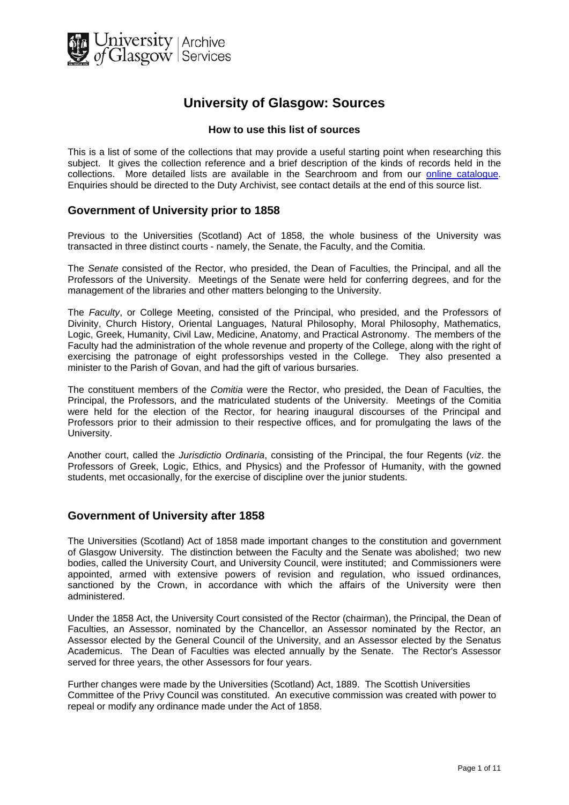

# **University of Glasgow: Sources**

#### **How to use this list of sources**

This is a list of some of the collections that may provide a useful starting point when researching this subject. It gives the collection reference and a brief description of the kinds of records held in the collections. More detailed lists are available in the Searchroom and from our [online catalogue.](http://cheshire.cent.gla.ac.uk/ead/) Enquiries should be directed to the Duty Archivist, see contact details at the end of this source list.

### **Government of University prior to 1858**

Previous to the Universities (Scotland) Act of 1858, the whole business of the University was transacted in three distinct courts - namely, the Senate, the Faculty, and the Comitia.

The *Senate* consisted of the Rector, who presided, the Dean of Faculties, the Principal, and all the Professors of the University. Meetings of the Senate were held for conferring degrees, and for the management of the libraries and other matters belonging to the University.

The *Faculty*, or College Meeting, consisted of the Principal, who presided, and the Professors of Divinity, Church History, Oriental Languages, Natural Philosophy, Moral Philosophy, Mathematics, Logic, Greek, Humanity, Civil Law, Medicine, Anatomy, and Practical Astronomy. The members of the Faculty had the administration of the whole revenue and property of the College, along with the right of exercising the patronage of eight professorships vested in the College. They also presented a minister to the Parish of Govan, and had the gift of various bursaries.

The constituent members of the *Comitia* were the Rector, who presided, the Dean of Faculties, the Principal, the Professors, and the matriculated students of the University. Meetings of the Comitia were held for the election of the Rector, for hearing inaugural discourses of the Principal and Professors prior to their admission to their respective offices, and for promulgating the laws of the University.

Another court, called the *Jurisdictio Ordinaria*, consisting of the Principal, the four Regents (*viz*. the Professors of Greek, Logic, Ethics, and Physics) and the Professor of Humanity, with the gowned students, met occasionally, for the exercise of discipline over the junior students.

#### **Government of University after 1858**

The Universities (Scotland) Act of 1858 made important changes to the constitution and government of Glasgow University. The distinction between the Faculty and the Senate was abolished; two new bodies, called the University Court, and University Council, were instituted; and Commissioners were appointed, armed with extensive powers of revision and regulation, who issued ordinances, sanctioned by the Crown, in accordance with which the affairs of the University were then administered.

Under the 1858 Act, the University Court consisted of the Rector (chairman), the Principal, the Dean of Faculties, an Assessor, nominated by the Chancellor, an Assessor nominated by the Rector, an Assessor elected by the General Council of the University, and an Assessor elected by the Senatus Academicus. The Dean of Faculties was elected annually by the Senate. The Rector's Assessor served for three years, the other Assessors for four years.

Further changes were made by the Universities (Scotland) Act, 1889. The Scottish Universities Committee of the Privy Council was constituted. An executive commission was created with power to repeal or modify any ordinance made under the Act of 1858.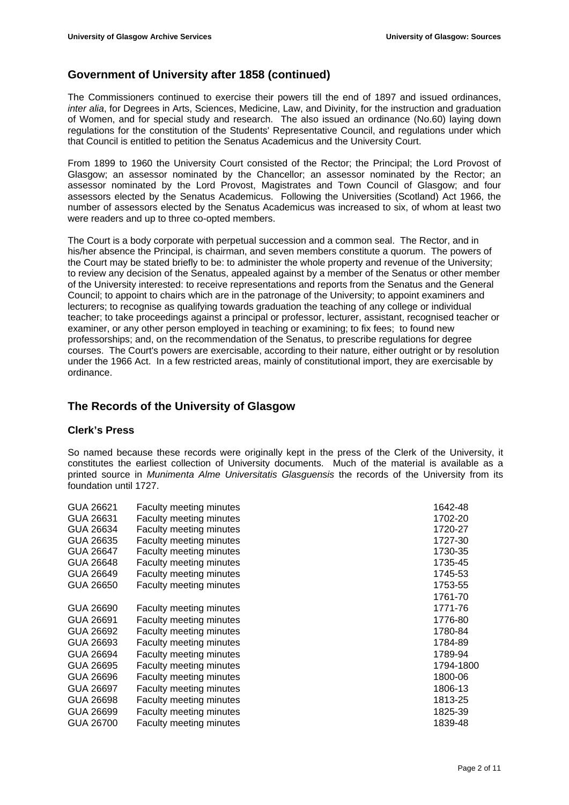### **Government of University after 1858 (continued)**

The Commissioners continued to exercise their powers till the end of 1897 and issued ordinances, *inter alia*, for Degrees in Arts, Sciences, Medicine, Law, and Divinity, for the instruction and graduation of Women, and for special study and research. The also issued an ordinance (No.60) laying down regulations for the constitution of the Students' Representative Council, and regulations under which that Council is entitled to petition the Senatus Academicus and the University Court.

From 1899 to 1960 the University Court consisted of the Rector; the Principal; the Lord Provost of Glasgow; an assessor nominated by the Chancellor; an assessor nominated by the Rector; an assessor nominated by the Lord Provost, Magistrates and Town Council of Glasgow; and four assessors elected by the Senatus Academicus. Following the Universities (Scotland) Act 1966, the number of assessors elected by the Senatus Academicus was increased to six, of whom at least two were readers and up to three co-opted members.

The Court is a body corporate with perpetual succession and a common seal. The Rector, and in his/her absence the Principal, is chairman, and seven members constitute a quorum. The powers of the Court may be stated briefly to be: to administer the whole property and revenue of the University; to review any decision of the Senatus, appealed against by a member of the Senatus or other member of the University interested: to receive representations and reports from the Senatus and the General Council; to appoint to chairs which are in the patronage of the University; to appoint examiners and lecturers; to recognise as qualifying towards graduation the teaching of any college or individual teacher; to take proceedings against a principal or professor, lecturer, assistant, recognised teacher or examiner, or any other person employed in teaching or examining; to fix fees; to found new professorships; and, on the recommendation of the Senatus, to prescribe regulations for degree courses. The Court's powers are exercisable, according to their nature, either outright or by resolution under the 1966 Act. In a few restricted areas, mainly of constitutional import, they are exercisable by ordinance.

### **The Records of the University of Glasgow**

#### **Clerk's Press**

So named because these records were originally kept in the press of the Clerk of the University, it constitutes the earliest collection of University documents. Much of the material is available as a printed source in *Munimenta Alme Universitatis Glasguensis* the records of the University from its foundation until 1727.

| <b>Faculty meeting minutes</b> | 1642-48   |
|--------------------------------|-----------|
| <b>Faculty meeting minutes</b> | 1702-20   |
| <b>Faculty meeting minutes</b> | 1720-27   |
| Faculty meeting minutes        | 1727-30   |
| <b>Faculty meeting minutes</b> | 1730-35   |
| <b>Faculty meeting minutes</b> | 1735-45   |
| <b>Faculty meeting minutes</b> | 1745-53   |
| Faculty meeting minutes        | 1753-55   |
|                                | 1761-70   |
| <b>Faculty meeting minutes</b> | 1771-76   |
| <b>Faculty meeting minutes</b> | 1776-80   |
| <b>Faculty meeting minutes</b> | 1780-84   |
| <b>Faculty meeting minutes</b> | 1784-89   |
| <b>Faculty meeting minutes</b> | 1789-94   |
| <b>Faculty meeting minutes</b> | 1794-1800 |
| Faculty meeting minutes        | 1800-06   |
| Faculty meeting minutes        | 1806-13   |
| <b>Faculty meeting minutes</b> | 1813-25   |
| Faculty meeting minutes        | 1825-39   |
| <b>Faculty meeting minutes</b> | 1839-48   |
|                                |           |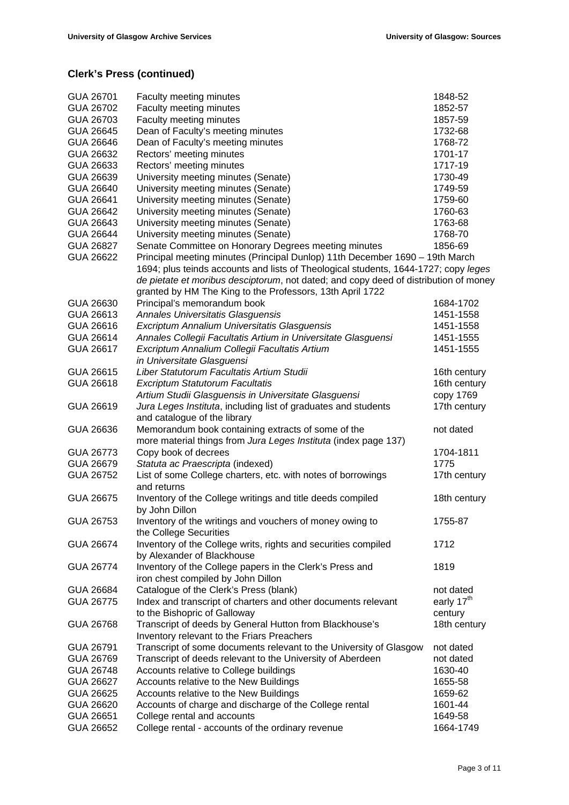| GUA 26701 | Faculty meeting minutes                                                              | 1848-52                |
|-----------|--------------------------------------------------------------------------------------|------------------------|
| GUA 26702 | Faculty meeting minutes                                                              | 1852-57                |
| GUA 26703 | Faculty meeting minutes                                                              | 1857-59                |
| GUA 26645 | Dean of Faculty's meeting minutes                                                    | 1732-68                |
| GUA 26646 | Dean of Faculty's meeting minutes                                                    | 1768-72                |
| GUA 26632 | Rectors' meeting minutes                                                             | 1701-17                |
| GUA 26633 | Rectors' meeting minutes                                                             | 1717-19                |
| GUA 26639 | University meeting minutes (Senate)                                                  | 1730-49                |
| GUA 26640 | University meeting minutes (Senate)                                                  | 1749-59                |
| GUA 26641 | University meeting minutes (Senate)                                                  | 1759-60                |
| GUA 26642 | University meeting minutes (Senate)                                                  | 1760-63                |
| GUA 26643 | University meeting minutes (Senate)                                                  | 1763-68                |
| GUA 26644 | University meeting minutes (Senate)                                                  | 1768-70                |
| GUA 26827 | Senate Committee on Honorary Degrees meeting minutes                                 | 1856-69                |
| GUA 26622 | Principal meeting minutes (Principal Dunlop) 11th December 1690 - 19th March         |                        |
|           | 1694; plus teinds accounts and lists of Theological students, 1644-1727; copy leges  |                        |
|           | de pietate et moribus desciptorum, not dated; and copy deed of distribution of money |                        |
|           | granted by HM The King to the Professors, 13th April 1722                            |                        |
| GUA 26630 | Principal's memorandum book                                                          | 1684-1702              |
| GUA 26613 | Annales Universitatis Glasguensis                                                    | 1451-1558              |
| GUA 26616 | Excriptum Annalium Universitatis Glasguensis                                         | 1451-1558              |
| GUA 26614 | Annales Collegii Facultatis Artium in Universitate Glasguensi                        | 1451-1555              |
| GUA 26617 | Excriptum Annalium Collegii Facultatis Artium                                        | 1451-1555              |
|           | in Universitate Glasguensi                                                           |                        |
| GUA 26615 | Liber Statutorum Facultatis Artium Studii                                            | 16th century           |
| GUA 26618 | <b>Excriptum Statutorum Facultatis</b>                                               | 16th century           |
|           | Artium Studii Glasguensis in Universitate Glasguensi                                 | copy 1769              |
| GUA 26619 | Jura Leges Instituta, including list of graduates and students                       | 17th century           |
|           | and catalogue of the library                                                         |                        |
| GUA 26636 | Memorandum book containing extracts of some of the                                   | not dated              |
|           | more material things from Jura Leges Instituta (index page 137)                      |                        |
| GUA 26773 | Copy book of decrees                                                                 | 1704-1811              |
| GUA 26679 | Statuta ac Praescripta (indexed)                                                     | 1775                   |
| GUA 26752 | List of some College charters, etc. with notes of borrowings                         | 17th century           |
|           | and returns                                                                          |                        |
| GUA 26675 | Inventory of the College writings and title deeds compiled                           | 18th century           |
|           | by John Dillon                                                                       |                        |
| GUA 26753 | Inventory of the writings and vouchers of money owing to                             | 1755-87                |
|           | the College Securities                                                               |                        |
| GUA 26674 | Inventory of the College writs, rights and securities compiled                       | 1712                   |
|           | by Alexander of Blackhouse                                                           |                        |
| GUA 26774 | Inventory of the College papers in the Clerk's Press and                             | 1819                   |
|           | iron chest compiled by John Dillon                                                   |                        |
| GUA 26684 | Catalogue of the Clerk's Press (blank)                                               | not dated              |
| GUA 26775 | Index and transcript of charters and other documents relevant                        | early 17 <sup>th</sup> |
|           | to the Bishopric of Galloway                                                         | century                |
| GUA 26768 | Transcript of deeds by General Hutton from Blackhouse's                              | 18th century           |
|           | Inventory relevant to the Friars Preachers                                           |                        |
| GUA 26791 | Transcript of some documents relevant to the University of Glasgow                   | not dated              |
| GUA 26769 | Transcript of deeds relevant to the University of Aberdeen                           | not dated              |
| GUA 26748 | Accounts relative to College buildings                                               | 1630-40                |
| GUA 26627 | Accounts relative to the New Buildings                                               | 1655-58                |
| GUA 26625 | Accounts relative to the New Buildings                                               | 1659-62                |
| GUA 26620 | Accounts of charge and discharge of the College rental                               | 1601-44                |
| GUA 26651 | College rental and accounts                                                          | 1649-58                |
| GUA 26652 | College rental - accounts of the ordinary revenue                                    | 1664-1749              |
|           |                                                                                      |                        |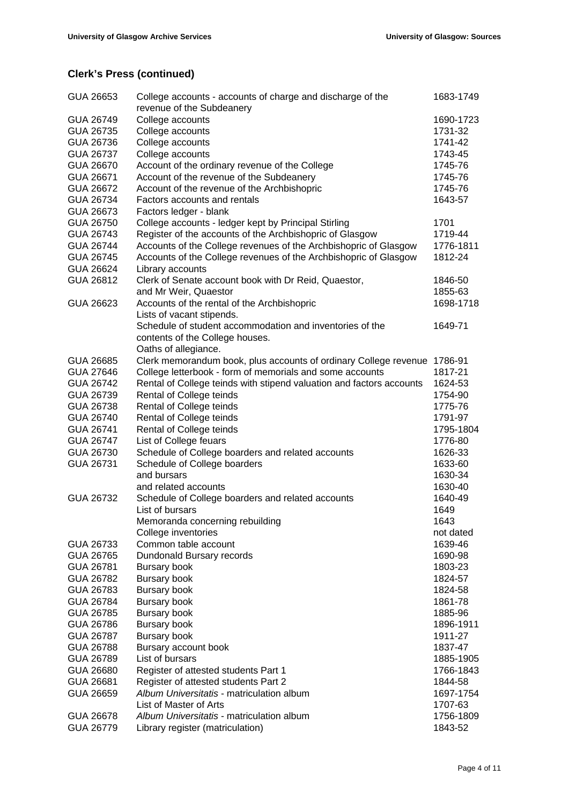| GUA 26653 | College accounts - accounts of charge and discharge of the<br>revenue of the Subdeanery | 1683-1749 |
|-----------|-----------------------------------------------------------------------------------------|-----------|
| GUA 26749 | College accounts                                                                        | 1690-1723 |
| GUA 26735 | College accounts                                                                        | 1731-32   |
| GUA 26736 | College accounts                                                                        | 1741-42   |
| GUA 26737 | College accounts                                                                        | 1743-45   |
| GUA 26670 | Account of the ordinary revenue of the College                                          | 1745-76   |
| GUA 26671 | Account of the revenue of the Subdeanery                                                | 1745-76   |
| GUA 26672 | Account of the revenue of the Archbishopric                                             | 1745-76   |
| GUA 26734 | Factors accounts and rentals                                                            | 1643-57   |
| GUA 26673 | Factors ledger - blank                                                                  |           |
| GUA 26750 | College accounts - ledger kept by Principal Stirling                                    | 1701      |
| GUA 26743 | Register of the accounts of the Archbishopric of Glasgow                                | 1719-44   |
| GUA 26744 | Accounts of the College revenues of the Archbishopric of Glasgow                        | 1776-1811 |
| GUA 26745 | Accounts of the College revenues of the Archbishopric of Glasgow                        | 1812-24   |
| GUA 26624 | Library accounts                                                                        |           |
| GUA 26812 | Clerk of Senate account book with Dr Reid, Quaestor,                                    | 1846-50   |
|           | and Mr Weir, Quaestor                                                                   | 1855-63   |
| GUA 26623 | Accounts of the rental of the Archbishopric                                             | 1698-1718 |
|           | Lists of vacant stipends.                                                               |           |
|           | Schedule of student accommodation and inventories of the                                | 1649-71   |
|           | contents of the College houses.                                                         |           |
|           | Oaths of allegiance.                                                                    |           |
| GUA 26685 | Clerk memorandum book, plus accounts of ordinary College revenue                        | 1786-91   |
| GUA 27646 | College letterbook - form of memorials and some accounts                                | 1817-21   |
| GUA 26742 | Rental of College teinds with stipend valuation and factors accounts                    | 1624-53   |
| GUA 26739 | Rental of College teinds                                                                | 1754-90   |
| GUA 26738 | Rental of College teinds                                                                | 1775-76   |
| GUA 26740 | Rental of College teinds                                                                | 1791-97   |
| GUA 26741 | Rental of College teinds                                                                | 1795-1804 |
| GUA 26747 | List of College feuars                                                                  | 1776-80   |
| GUA 26730 | Schedule of College boarders and related accounts                                       | 1626-33   |
| GUA 26731 | Schedule of College boarders                                                            | 1633-60   |
|           | and bursars                                                                             | 1630-34   |
|           | and related accounts                                                                    | 1630-40   |
| GUA 26732 | Schedule of College boarders and related accounts                                       | 1640-49   |
|           | List of bursars                                                                         | 1649      |
|           | Memoranda concerning rebuilding                                                         | 1643      |
|           | College inventories                                                                     | not dated |
| GUA 26733 | Common table account                                                                    | 1639-46   |
| GUA 26765 | Dundonald Bursary records                                                               | 1690-98   |
| GUA 26781 | Bursary book                                                                            | 1803-23   |
| GUA 26782 | <b>Bursary book</b>                                                                     | 1824-57   |
| GUA 26783 | <b>Bursary book</b>                                                                     | 1824-58   |
| GUA 26784 | <b>Bursary book</b>                                                                     | 1861-78   |
| GUA 26785 | <b>Bursary book</b>                                                                     | 1885-96   |
|           |                                                                                         |           |
| GUA 26786 | <b>Bursary book</b>                                                                     | 1896-1911 |
| GUA 26787 | <b>Bursary book</b>                                                                     | 1911-27   |
| GUA 26788 | Bursary account book                                                                    | 1837-47   |
| GUA 26789 | List of bursars                                                                         | 1885-1905 |
| GUA 26680 | Register of attested students Part 1                                                    | 1766-1843 |
| GUA 26681 | Register of attested students Part 2                                                    | 1844-58   |
| GUA 26659 | Album Universitatis - matriculation album                                               | 1697-1754 |
|           | List of Master of Arts                                                                  | 1707-63   |
| GUA 26678 | Album Universitatis - matriculation album                                               | 1756-1809 |
| GUA 26779 | Library register (matriculation)                                                        | 1843-52   |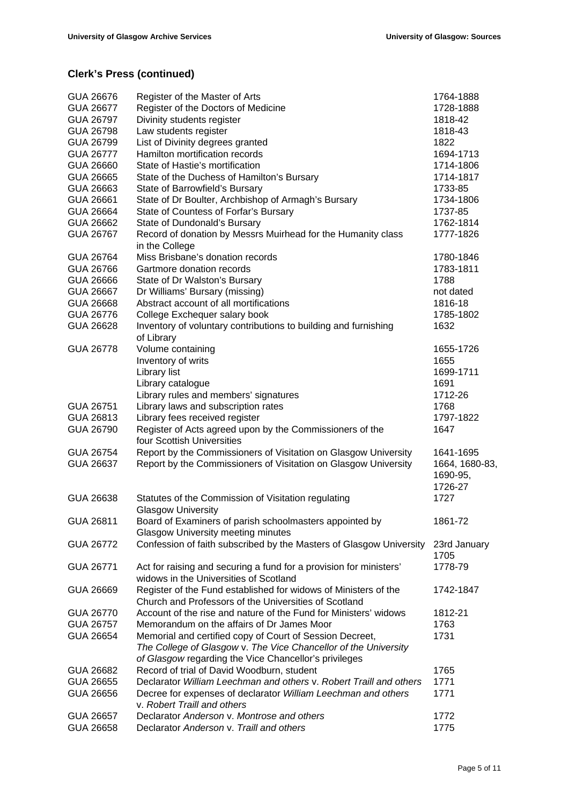| GUA 26676<br>GUA 26677 | Register of the Master of Arts<br>Register of the Doctors of Medicine                                                    | 1764-1888<br>1728-1888                |
|------------------------|--------------------------------------------------------------------------------------------------------------------------|---------------------------------------|
| GUA 26797<br>GUA 26798 | Divinity students register<br>Law students register                                                                      | 1818-42<br>1818-43                    |
| GUA 26799              | List of Divinity degrees granted                                                                                         | 1822                                  |
| <b>GUA 26777</b>       | Hamilton mortification records                                                                                           | 1694-1713                             |
| GUA 26660              | State of Hastie's mortification                                                                                          | 1714-1806                             |
| GUA 26665              | State of the Duchess of Hamilton's Bursary                                                                               | 1714-1817                             |
| GUA 26663              | State of Barrowfield's Bursary                                                                                           | 1733-85                               |
| GUA 26661              | State of Dr Boulter, Archbishop of Armagh's Bursary                                                                      | 1734-1806                             |
| GUA 26664              | State of Countess of Forfar's Bursary                                                                                    | 1737-85                               |
| GUA 26662              | State of Dundonald's Bursary                                                                                             | 1762-1814                             |
| GUA 26767              | Record of donation by Messrs Muirhead for the Humanity class<br>in the College                                           | 1777-1826                             |
| GUA 26764              | Miss Brisbane's donation records                                                                                         | 1780-1846                             |
| GUA 26766              | Gartmore donation records                                                                                                | 1783-1811                             |
| GUA 26666              | State of Dr Walston's Bursary                                                                                            | 1788                                  |
| GUA 26667              | Dr Williams' Bursary (missing)                                                                                           | not dated                             |
| GUA 26668              | Abstract account of all mortifications                                                                                   | 1816-18                               |
| GUA 26776              | College Exchequer salary book                                                                                            | 1785-1802                             |
| GUA 26628              | Inventory of voluntary contributions to building and furnishing<br>of Library                                            | 1632                                  |
| GUA 26778              | Volume containing                                                                                                        | 1655-1726                             |
|                        | Inventory of writs                                                                                                       | 1655                                  |
|                        | Library list                                                                                                             | 1699-1711                             |
|                        | Library catalogue                                                                                                        | 1691                                  |
|                        | Library rules and members' signatures                                                                                    | 1712-26                               |
| GUA 26751              | Library laws and subscription rates                                                                                      | 1768                                  |
| GUA 26813              | Library fees received register                                                                                           | 1797-1822                             |
| GUA 26790              | Register of Acts agreed upon by the Commissioners of the<br>four Scottish Universities                                   | 1647                                  |
| GUA 26754              | Report by the Commissioners of Visitation on Glasgow University                                                          | 1641-1695                             |
| GUA 26637              | Report by the Commissioners of Visitation on Glasgow University                                                          | 1664, 1680-83,<br>1690-95,<br>1726-27 |
| GUA 26638              | Statutes of the Commission of Visitation regulating<br><b>Glasgow University</b>                                         | 1727                                  |
| GUA 26811              | Board of Examiners of parish schoolmasters appointed by                                                                  | 1861-72                               |
|                        | <b>Glasgow University meeting minutes</b>                                                                                |                                       |
| <b>GUA 26772</b>       | Confession of faith subscribed by the Masters of Glasgow University                                                      | 23rd January<br>1705                  |
| GUA 26771              | Act for raising and securing a fund for a provision for ministers'<br>widows in the Universities of Scotland             | 1778-79                               |
| GUA 26669              | Register of the Fund established for widows of Ministers of the<br>Church and Professors of the Universities of Scotland | 1742-1847                             |
| GUA 26770              | Account of the rise and nature of the Fund for Ministers' widows                                                         | 1812-21                               |
| GUA 26757              | Memorandum on the affairs of Dr James Moor                                                                               | 1763                                  |
| GUA 26654              | Memorial and certified copy of Court of Session Decreet,                                                                 | 1731                                  |
|                        | The College of Glasgow v. The Vice Chancellor of the University<br>of Glasgow regarding the Vice Chancellor's privileges |                                       |
| GUA 26682              | Record of trial of David Woodburn, student                                                                               | 1765                                  |
| GUA 26655              | Declarator William Leechman and others v. Robert Traill and others                                                       | 1771                                  |
| GUA 26656              | Decree for expenses of declarator William Leechman and others<br>v. Robert Traill and others                             | 1771                                  |
| GUA 26657              | Declarator Anderson v. Montrose and others                                                                               | 1772                                  |
| GUA 26658              | Declarator Anderson v. Traill and others                                                                                 | 1775                                  |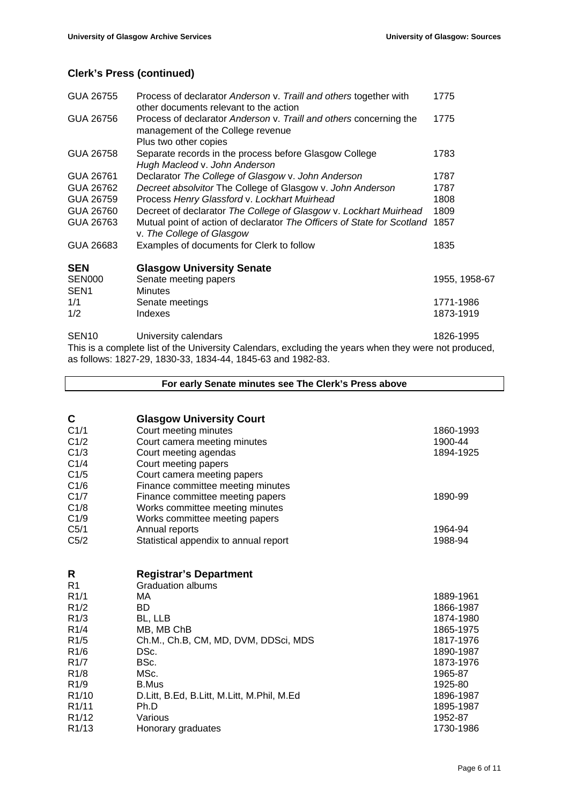| GUA 26755         | Process of declarator Anderson v. Traill and others together with<br>other documents relevant to the action                      | 1775          |
|-------------------|----------------------------------------------------------------------------------------------------------------------------------|---------------|
| GUA 26756         | Process of declarator Anderson v. Traill and others concerning the<br>management of the College revenue<br>Plus two other copies | 1775          |
| GUA 26758         | Separate records in the process before Glasgow College<br>Hugh Macleod v. John Anderson                                          | 1783          |
| GUA 26761         | Declarator The College of Glasgow v. John Anderson                                                                               | 1787          |
| GUA 26762         | Decreet absolvitor The College of Glasgow v. John Anderson                                                                       | 1787          |
| GUA 26759         | Process Henry Glassford v. Lockhart Muirhead                                                                                     | 1808          |
| GUA 26760         | Decreet of declarator The College of Glasgow v. Lockhart Muirhead                                                                | 1809          |
| GUA 26763         | Mutual point of action of declarator The Officers of State for Scotland<br>v. The College of Glasgow                             | 1857          |
| GUA 26683         | Examples of documents for Clerk to follow                                                                                        | 1835          |
| <b>SEN</b>        | <b>Glasgow University Senate</b>                                                                                                 |               |
| <b>SEN000</b>     | Senate meeting papers                                                                                                            | 1955, 1958-67 |
| SEN <sub>1</sub>  | <b>Minutes</b>                                                                                                                   |               |
| 1/1               | Senate meetings                                                                                                                  | 1771-1986     |
| 1/2               | Indexes                                                                                                                          | 1873-1919     |
| SEN <sub>10</sub> | University calendars<br>This is a complete list of the University Calendars, excluding the years when they were not produced,    | 1826-1995     |

This is a complete list of the University Calendars, excluding the years when they were not produced, as follows: 1827-29, 1830-33, 1834-44, 1845-63 and 1982-83.

**For early Senate minutes see The Clerk's Press above C Glasgow University Court**<br>C1/1 **Court meeting minutes** Court meeting minutes 1860-1993 C1/2 Court camera meeting minutes 1900-44 COUR COURT 1900-44 C1/3 Court meeting agendas 1894-1925 C1/4 Court meeting papers C1/5 Court camera meeting papers C1/6 Finance committee meeting minutes C1/7 Finance committee meeting papers 1890-99 C1/8 Works committee meeting minutes<br>C1/9 Works committee meeting papers C1/9 Works committee meeting papers<br>C5/1 Annual reports Annual reports 1964-94 C5/2 Statistical appendix to annual report 1988-94 **R Registrar's Department** R1 Graduation albums R1/1 MA 1889-1961 R1/2 BD 1866-1987 R1/3 BL, LLB 1874-1980 R1/4 MB, MB ChB 1865-1975 R1/5 Ch.M., Ch.B, CM, MD, DVM, DDSci, MDS 1817-1976 R1/6 DSc. 2008 DSc. 2009 1890-1987 R1/7 BSc. 2008 BSc. 2009 BSc. 2009 BSc. 2009 BSc. 2009 BSc. 2009 BSc. 2009 BSc. 2009 BSc. 2009 BSc. 2009 BSc. 2009 BSc. 2009 BSc. 2009 BSc. 2009 BSc. 2009 BSc. 2009 BSc. 2009 BSc. 2009 BSc. 2009 BSc. 2009 BSc. 2009 BSc. 20 R1/8 MSc. 2008 MSc. 2009 MSc. 2009 MSc. 2009 MSc. 2009 MSc. 2009 MSc. 2009 MSc. 2009 MSc. 2009 MSc. 2009 MSc. 2009 MSc 2009 MSc 2009 MSc 2009 MSc 2009 MSc 2009 MSc 2009 MSc 2009 MSc 2009 MSc 2009 MSc 2009 MSc 2009 MSc 2009 R1/9 B.Mus 2012 B.Mus 2012 B.Mus 2012 B.Mus 2012 B.Mus 2012 B.Mus 2012 B.Mus 2012 B.Mus 2012 B.Mus 2012 B.Mus 2 R1/10 D.Litt, B.Ed, B.Litt, M.Litt, M.Phil, M.Ed 1896-1987<br>R1/11 Ph.D 1895-1987 R1/11 Ph.D 2006 Ph.D 2012 1895-1987 R1/12 Various Various 1952-87 R1/13 Honorary graduates 1730-1986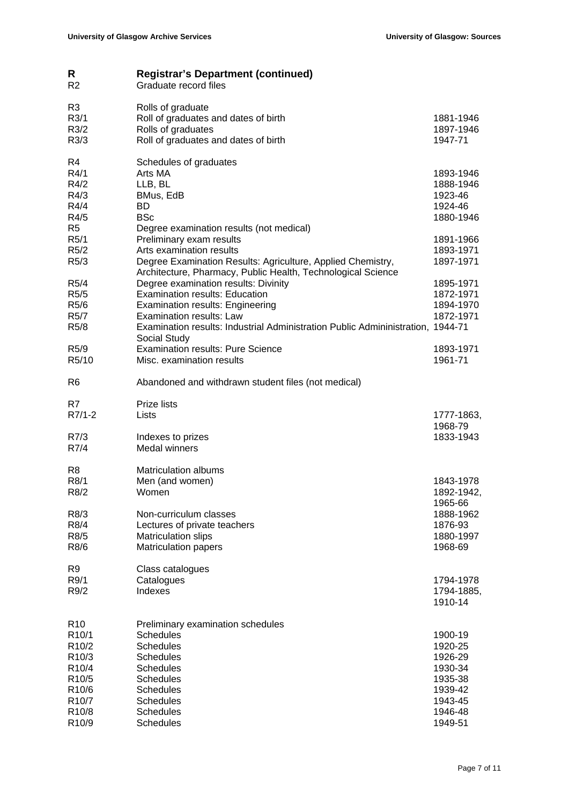| R<br>R <sub>2</sub>                                                                                                                                                            | <b>Registrar's Department (continued)</b><br>Graduate record files                                                                                                                                                                                      |                                                                                                 |
|--------------------------------------------------------------------------------------------------------------------------------------------------------------------------------|---------------------------------------------------------------------------------------------------------------------------------------------------------------------------------------------------------------------------------------------------------|-------------------------------------------------------------------------------------------------|
| R <sub>3</sub><br>R3/1<br>R3/2<br>R3/3                                                                                                                                         | Rolls of graduate<br>Roll of graduates and dates of birth<br>Rolls of graduates<br>Roll of graduates and dates of birth                                                                                                                                 | 1881-1946<br>1897-1946<br>1947-71                                                               |
| R4<br>R4/1<br>R4/2<br>R4/3<br>R4/4<br>R4/5<br>R <sub>5</sub>                                                                                                                   | Schedules of graduates<br>Arts MA<br>LLB, BL<br>BMus, EdB<br>BD.<br><b>BSc</b><br>Degree examination results (not medical)                                                                                                                              | 1893-1946<br>1888-1946<br>1923-46<br>1924-46<br>1880-1946                                       |
| R <sub>5</sub> /1<br>R <sub>5</sub> /2<br>R5/3                                                                                                                                 | Preliminary exam results<br>Arts examination results<br>Degree Examination Results: Agriculture, Applied Chemistry,<br>Architecture, Pharmacy, Public Health, Technological Science                                                                     | 1891-1966<br>1893-1971<br>1897-1971                                                             |
| R <sub>5</sub> /4<br>R5/5<br>R <sub>5</sub> /6<br>R <sub>5</sub> /7<br>R <sub>5</sub> /8                                                                                       | Degree examination results: Divinity<br><b>Examination results: Education</b><br><b>Examination results: Engineering</b><br>Examination results: Law<br>Examination results: Industrial Administration Public Admininistration, 1944-71<br>Social Study | 1895-1971<br>1872-1971<br>1894-1970<br>1872-1971                                                |
| R <sub>5</sub> /9<br>R5/10                                                                                                                                                     | <b>Examination results: Pure Science</b><br>Misc. examination results                                                                                                                                                                                   | 1893-1971<br>1961-71                                                                            |
| R <sub>6</sub>                                                                                                                                                                 | Abandoned and withdrawn student files (not medical)                                                                                                                                                                                                     |                                                                                                 |
| R7<br>$R7/1-2$                                                                                                                                                                 | Prize lists<br>Lists                                                                                                                                                                                                                                    | 1777-1863,                                                                                      |
| R7/3<br>R7/4                                                                                                                                                                   | Indexes to prizes<br><b>Medal winners</b>                                                                                                                                                                                                               | 1968-79<br>1833-1943                                                                            |
| R8<br>R <sub>8</sub> /1<br>R8/2                                                                                                                                                | <b>Matriculation albums</b><br>Men (and women)<br>Women                                                                                                                                                                                                 | 1843-1978<br>1892-1942,<br>1965-66                                                              |
| R8/3<br>R8/4<br>R8/5<br>R8/6                                                                                                                                                   | Non-curriculum classes<br>Lectures of private teachers<br>Matriculation slips<br><b>Matriculation papers</b>                                                                                                                                            | 1888-1962<br>1876-93<br>1880-1997<br>1968-69                                                    |
| R <sub>9</sub><br>R9/1<br>R9/2                                                                                                                                                 | Class catalogues<br>Catalogues<br>Indexes                                                                                                                                                                                                               | 1794-1978<br>1794-1885,<br>1910-14                                                              |
| R <sub>10</sub><br>R <sub>10</sub> /1<br>R <sub>10</sub> /2<br>R <sub>10</sub> /3<br>R10/4<br>R10/5<br>R10/6<br>R <sub>10</sub> /7<br>R <sub>10</sub> /8<br>R <sub>10</sub> /9 | Preliminary examination schedules<br><b>Schedules</b><br><b>Schedules</b><br><b>Schedules</b><br><b>Schedules</b><br><b>Schedules</b><br><b>Schedules</b><br><b>Schedules</b><br><b>Schedules</b><br><b>Schedules</b>                                   | 1900-19<br>1920-25<br>1926-29<br>1930-34<br>1935-38<br>1939-42<br>1943-45<br>1946-48<br>1949-51 |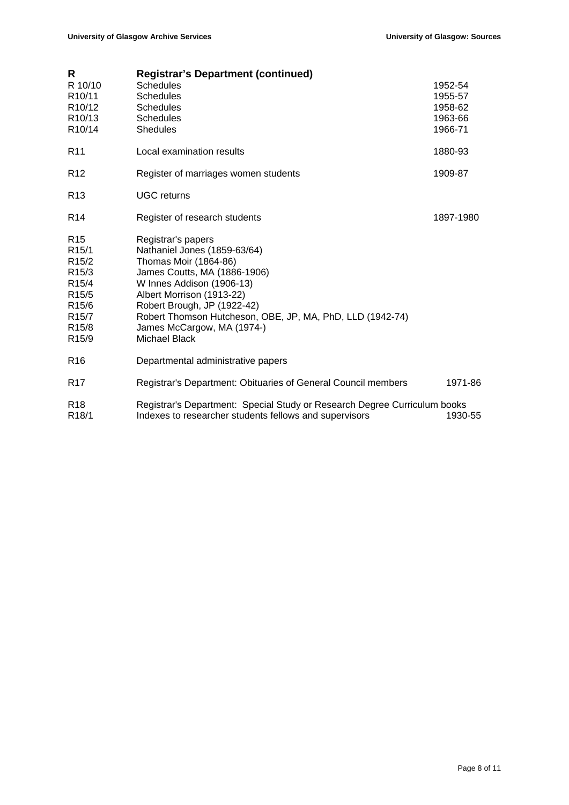| R                   | <b>Registrar's Department (continued)</b>                                 |           |
|---------------------|---------------------------------------------------------------------------|-----------|
| R 10/10             | <b>Schedules</b>                                                          | 1952-54   |
| R <sub>10</sub> /11 | Schedules                                                                 | 1955-57   |
| R10/12              | <b>Schedules</b>                                                          | 1958-62   |
| R10/13              | <b>Schedules</b>                                                          | 1963-66   |
| R10/14              | <b>Shedules</b>                                                           | 1966-71   |
| R <sub>11</sub>     | Local examination results                                                 | 1880-93   |
| R <sub>12</sub>     | Register of marriages women students                                      | 1909-87   |
| R <sub>13</sub>     | <b>UGC</b> returns                                                        |           |
| R <sub>14</sub>     | Register of research students                                             | 1897-1980 |
| R <sub>15</sub>     | Registrar's papers                                                        |           |
| R <sub>15</sub> /1  | Nathaniel Jones (1859-63/64)                                              |           |
| R <sub>15</sub> /2  | Thomas Moir (1864-86)                                                     |           |
| R <sub>15</sub> /3  | James Coutts, MA (1886-1906)                                              |           |
| R <sub>15</sub> /4  | W Innes Addison (1906-13)                                                 |           |
| R <sub>15</sub> /5  | Albert Morrison (1913-22)                                                 |           |
| R <sub>15</sub> /6  | Robert Brough, JP (1922-42)                                               |           |
| R <sub>15</sub> /7  | Robert Thomson Hutcheson, OBE, JP, MA, PhD, LLD (1942-74)                 |           |
| R <sub>15</sub> /8  | James McCargow, MA (1974-)                                                |           |
| R <sub>15</sub> /9  | Michael Black                                                             |           |
| R <sub>16</sub>     | Departmental administrative papers                                        |           |
| R <sub>17</sub>     | Registrar's Department: Obituaries of General Council members             | 1971-86   |
| R <sub>18</sub>     | Registrar's Department: Special Study or Research Degree Curriculum books |           |
| R <sub>18</sub> /1  | Indexes to researcher students fellows and supervisors                    | 1930-55   |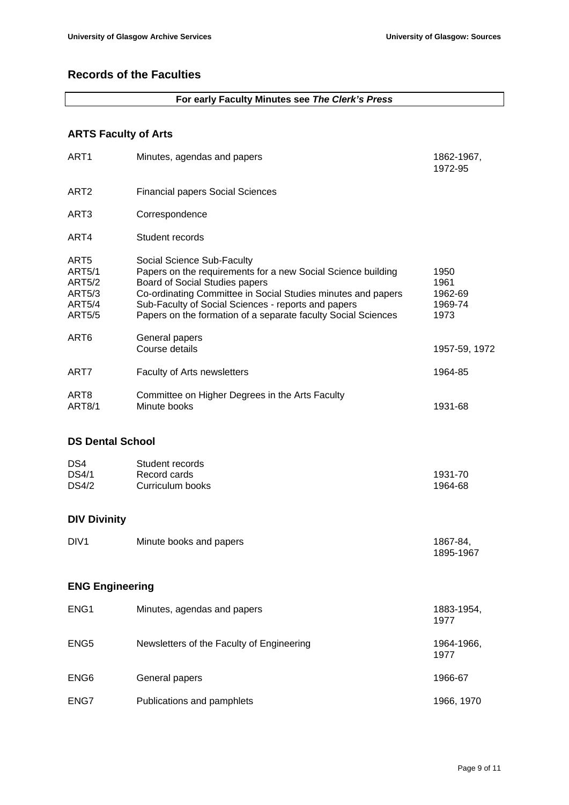### **Records of the Faculties**

#### **For early Faculty Minutes see** *The Clerk's Press*

### **ARTS Faculty of Arts**

| ART <sub>1</sub>                                                                                      | Minutes, agendas and papers                                                                                                                                                                                                                                                                                          | 1862-1967,<br>1972-95                      |
|-------------------------------------------------------------------------------------------------------|----------------------------------------------------------------------------------------------------------------------------------------------------------------------------------------------------------------------------------------------------------------------------------------------------------------------|--------------------------------------------|
| ART <sub>2</sub>                                                                                      | <b>Financial papers Social Sciences</b>                                                                                                                                                                                                                                                                              |                                            |
| ART3                                                                                                  | Correspondence                                                                                                                                                                                                                                                                                                       |                                            |
| ART4                                                                                                  | Student records                                                                                                                                                                                                                                                                                                      |                                            |
| ART <sub>5</sub><br><b>ART5/1</b><br><b>ART5/2</b><br><b>ART5/3</b><br><b>ART5/4</b><br><b>ART5/5</b> | Social Science Sub-Faculty<br>Papers on the requirements for a new Social Science building<br>Board of Social Studies papers<br>Co-ordinating Committee in Social Studies minutes and papers<br>Sub-Faculty of Social Sciences - reports and papers<br>Papers on the formation of a separate faculty Social Sciences | 1950<br>1961<br>1962-69<br>1969-74<br>1973 |
| ART <sub>6</sub>                                                                                      | General papers<br>Course details                                                                                                                                                                                                                                                                                     | 1957-59, 1972                              |
| ART7                                                                                                  | Faculty of Arts newsletters                                                                                                                                                                                                                                                                                          | 1964-85                                    |
| ART <sub>8</sub><br><b>ART8/1</b>                                                                     | Committee on Higher Degrees in the Arts Faculty<br>Minute books                                                                                                                                                                                                                                                      | 1931-68                                    |
| <b>DS Dental School</b>                                                                               |                                                                                                                                                                                                                                                                                                                      |                                            |
| DS4<br><b>DS4/1</b><br>DS4/2                                                                          | Student records<br>Record cards<br>Curriculum books                                                                                                                                                                                                                                                                  | 1931-70<br>1964-68                         |
| <b>DIV Divinity</b>                                                                                   |                                                                                                                                                                                                                                                                                                                      |                                            |

#### DIV1 Minute books and papers 1867-84, 1895-1967

#### **ENG Engineering**

| ENG <sub>1</sub> | Minutes, agendas and papers               | 1883-1954,<br>1977 |
|------------------|-------------------------------------------|--------------------|
| ENG <sub>5</sub> | Newsletters of the Faculty of Engineering | 1964-1966,<br>1977 |
| ENG <sub>6</sub> | General papers                            | 1966-67            |
| ENG7             | Publications and pamphlets                | 1966, 1970         |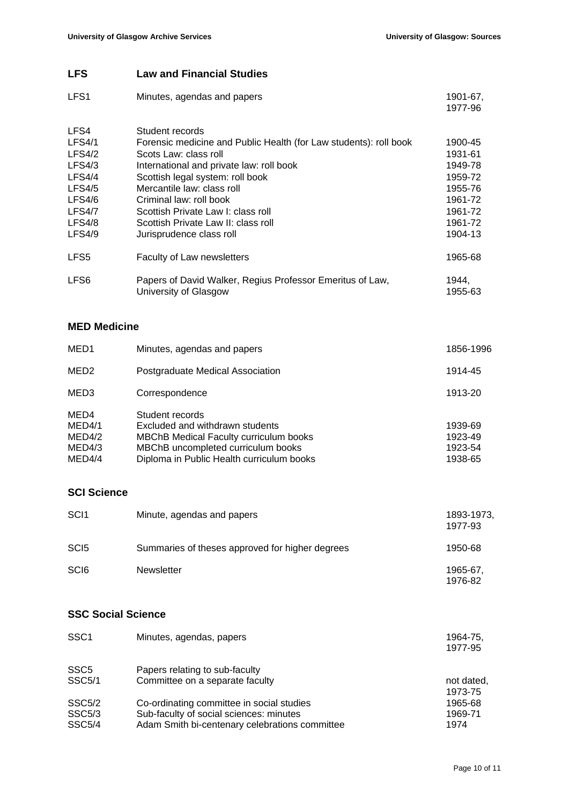### **LFS Law and Financial Studies**

| LFS <sub>1</sub> | Minutes, agendas and papers                                                        | 1901-67,<br>1977-96 |
|------------------|------------------------------------------------------------------------------------|---------------------|
| LFS4             | Student records                                                                    |                     |
| <b>LFS4/1</b>    | Forensic medicine and Public Health (for Law students): roll book                  | 1900-45             |
| LFS4/2           | Scots Law: class roll                                                              | 1931-61             |
| LFS4/3           | International and private law: roll book                                           | 1949-78             |
| LFS4/4           | Scottish legal system: roll book                                                   | 1959-72             |
| LFS4/5           | Mercantile law: class roll                                                         | 1955-76             |
| LFS4/6           | Criminal law: roll book                                                            | 1961-72             |
| LFS4/7           | Scottish Private Law I: class roll                                                 | 1961-72             |
| LFS4/8           | Scottish Private Law II: class roll                                                | 1961-72             |
| LFS4/9           | Jurisprudence class roll                                                           | 1904-13             |
| LFS <sub>5</sub> | <b>Faculty of Law newsletters</b>                                                  | 1965-68             |
| LFS <sub>6</sub> | Papers of David Walker, Regius Professor Emeritus of Law,<br>University of Glasgow | 1944.<br>1955-63    |

#### **MED Medicine**

| MED <sub>1</sub>         | Minutes, agendas and papers                                                                         | 1856-1996          |
|--------------------------|-----------------------------------------------------------------------------------------------------|--------------------|
| MED <sub>2</sub>         | Postgraduate Medical Association                                                                    | 1914-45            |
| MED3                     | Correspondence                                                                                      | 1913-20            |
| MED4<br>MED4/1<br>MED4/2 | Student records<br>Excluded and withdrawn students<br><b>MBChB Medical Faculty curriculum books</b> | 1939-69<br>1923-49 |
| MED4/3                   | MBChB uncompleted curriculum books                                                                  | 1923-54            |
| MED4/4                   | Diploma in Public Health curriculum books                                                           | 1938-65            |

### **SCI Science**

| SC <sub>I1</sub> | Minute, agendas and papers                      | 1893-1973,<br>1977-93 |
|------------------|-------------------------------------------------|-----------------------|
| SC <sub>I5</sub> | Summaries of theses approved for higher degrees | 1950-68               |
| SC <sub>I6</sub> | <b>Newsletter</b>                               | 1965-67.<br>1976-82   |

### **SSC Social Science**

| SSC <sub>1</sub>    | Minutes, agendas, papers                       | 1964-75.   |
|---------------------|------------------------------------------------|------------|
|                     |                                                | 1977-95    |
| SSC <sub>5</sub>    | Papers relating to sub-faculty                 |            |
| <b>SSC5/1</b>       | Committee on a separate faculty                | not dated, |
|                     |                                                | 1973-75    |
| SSC <sub>5</sub> /2 | Co-ordinating committee in social studies      | 1965-68    |
| SSC <sub>5</sub> /3 | Sub-faculty of social sciences: minutes        | 1969-71    |
| <b>SSC5/4</b>       | Adam Smith bi-centenary celebrations committee | 1974       |
|                     |                                                |            |